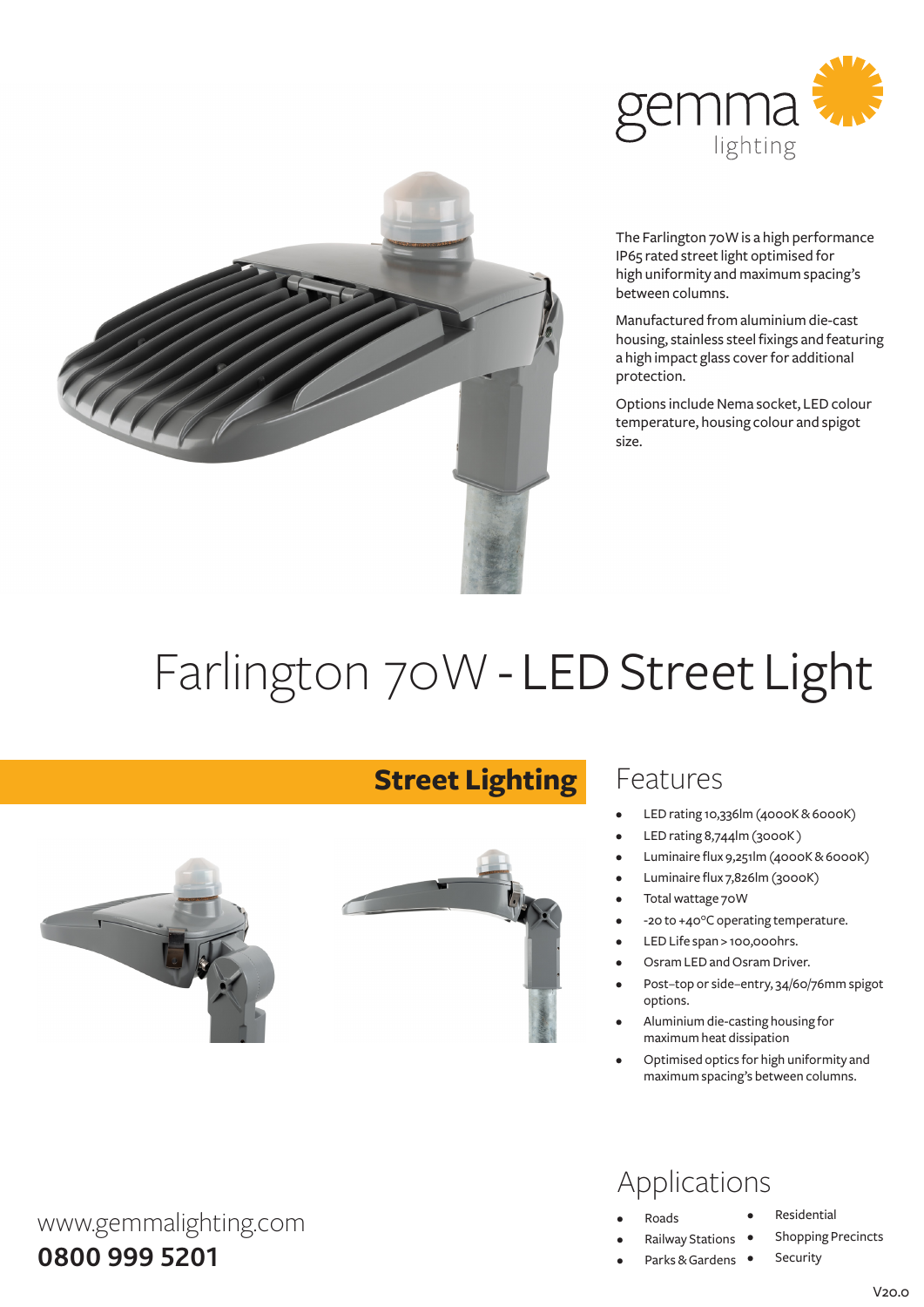



The Farlington 70W is a high performance IP65 rated street light optimised for high uniformity and maximum spacing's between columns.

Manufactured fromaluminiumdie-cast housing, stainless steel fixings and featuring a high impact glass cover for additional protection.

Options include Nema socket, LED colour temperature, housing colour and spigot size.

# Farlington 70W - LED Street Light

**Street Lighting**



### Features

- LED rating 10,336lm (4000K & 6000K)
- LED rating 8,744lm (3000K)
- Luminaire flux 9,251lm (4000K & 6000K)
- Luminaire flux 7,826lm (3000K)
- Total wattage 70W
- -20 to +40°C operating temperature.
- LED Life span > 100,000hrs.
- Osram LED and Osram Driver.
- Post-top or side-entry, 34/60/76mm spigot options.
- Aluminium die-casting housing for maximumheat dissipation
- Optimised optics for high uniformity and maximumspacing's between columns.

## Applications

- **Roads**
- **Railway Stations**
- Parks & Gardens •
- **Residential**
- **Shopping Precincts**
- Security

#### $V20.0$

**0800 999 5201**

www.gemmalighting.com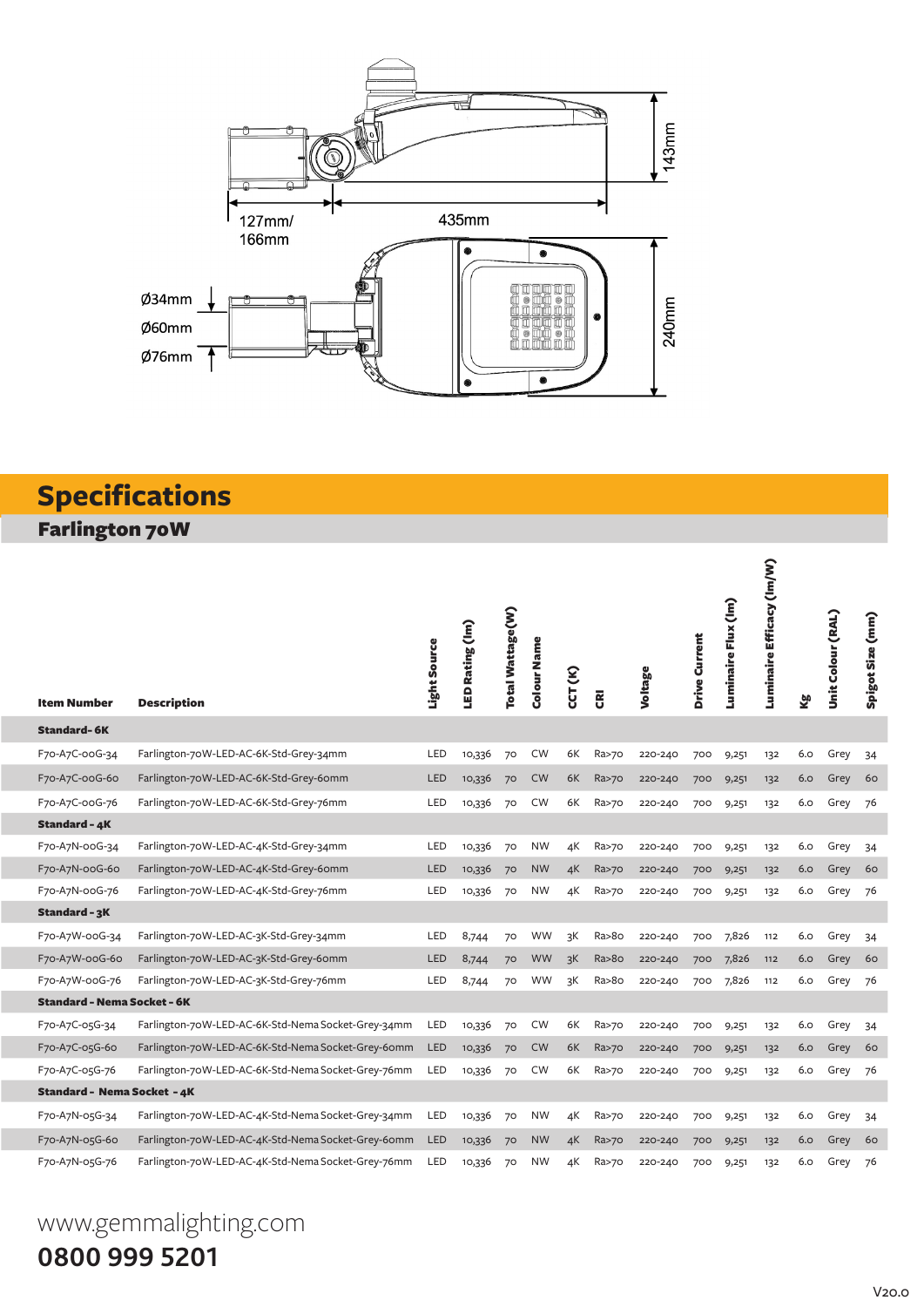

## **Specifications** Farlington 70W

|                                    |                                                    | Light Source | LED Rating (Im) | Total Wattage(W) | Colour Name | CCT (K) |                         | Voltage | Drive Current | Luminaire Flux (Im) | Luminaire Efficacy (Im/W) |     | Unit Colour (RAL) | Spigot Size (mm) |
|------------------------------------|----------------------------------------------------|--------------|-----------------|------------------|-------------|---------|-------------------------|---------|---------------|---------------------|---------------------------|-----|-------------------|------------------|
| Item Number                        | <b>Description</b>                                 |              |                 |                  |             |         | $\overline{\mathbf{g}}$ |         |               |                     |                           | Σġ  |                   |                  |
| <b>Standard-6K</b>                 |                                                    |              |                 |                  |             |         |                         |         |               |                     |                           |     |                   |                  |
| F70-A7C-00G-34                     | Farlington-70W-LED-AC-6K-Std-Grey-34mm             | LED          | 10,336          | 70               | <b>CW</b>   | 6K      | Ra>70                   | 220-240 | 700           | 9,251               | 132                       | 6.0 | Grey              | 34               |
| F70-A7C-00G-60                     | Farlington-70W-LED-AC-6K-Std-Grey-60mm             | <b>LED</b>   | 10,336          | 70               | <b>CW</b>   | 6K      | Ra>70                   | 220-240 | 700           | 9,251               | 132                       | 6.0 | Grey              | 60               |
| F70-A7C-00G-76                     | Farlington-70W-LED-AC-6K-Std-Grey-76mm             | LED          | 10,336          | 70               | <b>CW</b>   | 6K      | Ra>70                   | 220-240 | 700           | 9,251               | 132                       | 6.0 | Grey              | 76               |
| <b>Standard - 4K</b>               |                                                    |              |                 |                  |             |         |                         |         |               |                     |                           |     |                   |                  |
| F70-A7N-00G-34                     | Farlington-70W-LED-AC-4K-Std-Grey-34mm             | LED          | 10,336          | 70               | <b>NW</b>   | 4К      | Ra>70                   | 220-240 | 700           | 9,251               | 132                       | 6.0 | Grey              | 34               |
| F70-A7N-00G-60                     | Farlington-70W-LED-AC-4K-Std-Grey-60mm             | LED          | 10,336          | 70               | <b>NW</b>   | 4K      | Ra>70                   | 220-240 | 700           | 9,251               | 132                       | 6.0 | Grey              | 60               |
| F70-A7N-00G-76                     | Farlington-70W-LED-AC-4K-Std-Grey-76mm             | LED          | 10,336          | 70               | <b>NW</b>   | 4К      | Ra>70                   | 220-240 | 700           | 9,251               | 132                       | 6.0 | Grey              | 76               |
| Standard - 3K                      |                                                    |              |                 |                  |             |         |                         |         |               |                     |                           |     |                   |                  |
| F70-A7W-00G-34                     | Farlington-70W-LED-AC-3K-Std-Grey-34mm             | LED          | 8,744           | 70               | <b>WW</b>   | зK      | Ra>8o                   | 220-240 | 700           | 7,826               | 112                       | 6.0 | Grey              | 34               |
| F70-A7W-00G-60                     | Farlington-70W-LED-AC-3K-Std-Grey-60mm             | <b>LED</b>   | 8,744           | 70               | <b>WW</b>   | 3K      | Ra > 80                 | 220-240 | 700           | 7,826               | 112                       | 6.0 | Grey              | 60               |
| F70-A7W-00G-76                     | Farlington-70W-LED-AC-3K-Std-Grey-76mm             | LED          | 8,744           | 70               | <b>WW</b>   | 3K      | Ra>8o                   | 220-240 | 700           | 7,826               | 112                       | 6.0 | Grey              | 76               |
| <b>Standard - Nema Socket - 6K</b> |                                                    |              |                 |                  |             |         |                         |         |               |                     |                           |     |                   |                  |
| F70-A7C-05G-34                     | Farlington-70W-LED-AC-6K-Std-Nema Socket-Grey-34mm | LED          | 10,336          | 70               | <b>CW</b>   | 6K      | Ra>70                   | 220-240 | 700           | 9,251               | 132                       | 6.0 | Grey              | 34               |
| F70-A7C-05G-60                     | Farlington-70W-LED-AC-6K-Std-Nema Socket-Grey-60mm | LED          | 10,336          | 70               | <b>CW</b>   | 6K      | Ra>70                   | 220-240 | 700           | 9,251               | 132                       | 6.0 | Grey              | 60               |
| F70-A7C-05G-76                     | Farlington-70W-LED-AC-6K-Std-Nema Socket-Grey-76mm | LED          | 10,336          | 70               | <b>CW</b>   | 6K      | Ra>70                   | 220-240 | 700           | 9,251               | 132                       | 6.0 | Grey              | 76               |
| <b>Standard - Nema Socket - 4K</b> |                                                    |              |                 |                  |             |         |                         |         |               |                     |                           |     |                   |                  |
| F70-A7N-05G-34                     | Farlington-70W-LED-AC-4K-Std-Nema Socket-Grey-34mm | LED          | 10,336          | 70               | <b>NW</b>   | 4K      | Ra>70                   | 220-240 | 700           | 9,251               | 132                       | 6.0 | Grey              | 34               |
| F70-A7N-05G-60                     | Farlington-70W-LED-AC-4K-Std-Nema Socket-Grey-60mm | <b>LED</b>   | 10,336          | 70               | <b>NW</b>   | 4K      | Ra>70                   | 220-240 | 700           | 9,251               | 132                       | 6.0 | Grey              | 60               |
| F70-A7N-05G-76                     | Farlington-70W-LED-AC-4K-Std-Nema Socket-Grey-76mm | LED          | 10,336          | 70               | <b>NW</b>   | 4К      | Ra>70                   | 220-240 | 700           | 9,251               | 132                       | 6.0 | Grey              | 76               |

## www.gemmalighting.com **0800 999 5201**